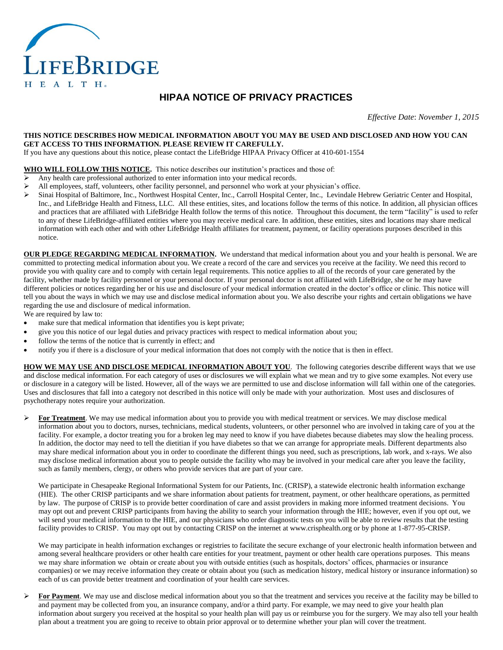

# **HIPAA NOTICE OF PRIVACY PRACTICES**

*Effective Date*: *November 1, 2015*

## **THIS NOTICE DESCRIBES HOW MEDICAL INFORMATION ABOUT YOU MAY BE USED AND DISCLOSED AND HOW YOU CAN GET ACCESS TO THIS INFORMATION. PLEASE REVIEW IT CAREFULLY.**

If you have any questions about this notice, please contact the LifeBridge HIPAA Privacy Officer at 410-601-1554

### **WHO WILL FOLLOW THIS NOTICE.** This notice describes our institution's practices and those of:

- Any health care professional authorized to enter information into your medical records.
- All employees, staff, volunteers, other facility personnel, and personnel who work at your physician's office.
- Sinai Hospital of Baltimore, Inc., Northwest Hospital Center, Inc., Carroll Hospital Center, Inc., Levindale Hebrew Geriatric Center and Hospital, Inc., and LifeBridge Health and Fitness, LLC. All these entities, sites, and locations follow the terms of this notice. In addition, all physician offices and practices that are affiliated with LifeBridge Health follow the terms of this notice. Throughout this document, the term "facility" is used to refer to any of these LifeBridge-affiliated entities where you may receive medical care. In addition, these entities, sites and locations may share medical information with each other and with other LifeBridge Health affiliates for treatment, payment, or facility operations purposes described in this notice.

**OUR PLEDGE REGARDING MEDICAL INFORMATION.** We understand that medical information about you and your health is personal. We are committed to protecting medical information about you. We create a record of the care and services you receive at the facility. We need this record to provide you with quality care and to comply with certain legal requirements. This notice applies to all of the records of your care generated by the facility, whether made by facility personnel or your personal doctor. If your personal doctor is not affiliated with LifeBridge, she or he may have different policies or notices regarding her or his use and disclosure of your medical information created in the doctor's office or clinic. This notice will tell you about the ways in which we may use and disclose medical information about you. We also describe your rights and certain obligations we have regarding the use and disclosure of medical information.

We are required by law to:

- make sure that medical information that identifies you is kept private;
- give you this notice of our legal duties and privacy practices with respect to medical information about you;
- follow the terms of the notice that is currently in effect; and
- notify you if there is a disclosure of your medical information that does not comply with the notice that is then in effect.

**HOW WE MAY USE AND DISCLOSE MEDICAL INFORMATION ABOUT YOU**. The following categories describe different ways that we use and disclose medical information. For each category of uses or disclosures we will explain what we mean and try to give some examples. Not every use or disclosure in a category will be listed. However, all of the ways we are permitted to use and disclose information will fall within one of the categories. Uses and disclosures that fall into a category not described in this notice will only be made with your authorization. Most uses and disclosures of psychotherapy notes require your authorization.

**For Treatment**. We may use medical information about you to provide you with medical treatment or services. We may disclose medical information about you to doctors, nurses, technicians, medical students, volunteers, or other personnel who are involved in taking care of you at the facility. For example, a doctor treating you for a broken leg may need to know if you have diabetes because diabetes may slow the healing process. In addition, the doctor may need to tell the dietitian if you have diabetes so that we can arrange for appropriate meals. Different departments also may share medical information about you in order to coordinate the different things you need, such as prescriptions, lab work, and x-rays. We also may disclose medical information about you to people outside the facility who may be involved in your medical care after you leave the facility, such as family members, clergy, or others who provide services that are part of your care.

We participate in Chesapeake Regional Informational System for our Patients, Inc. (CRISP), a statewide electronic health information exchange (HIE). The other CRISP participants and we share information about patients for treatment, payment, or other healthcare operations, as permitted by law. The purpose of CRISP is to provide better coordination of care and assist providers in making more informed treatment decisions. You may opt out and prevent CRISP participants from having the ability to search your information through the HIE; however, even if you opt out, we will send your medical information to the HIE, and our physicians who order diagnostic tests on you will be able to review results that the testing facility provides to CRISP. You may opt out by contacting CRISP on the internet at www.crisphealth.org or by phone at 1-877-95-CRISP.

We may participate in health information exchanges or registries to facilitate the secure exchange of your electronic health information between and among several healthcare providers or other health care entities for your treatment, payment or other health care operations purposes. This means we may share information we obtain or create about you with outside entities (such as hospitals, doctors' offices, pharmacies or insurance companies) or we may receive information they create or obtain about you (such as medication history, medical history or insurance information) so each of us can provide better treatment and coordination of your health care services.

 $\triangleright$  **For Payment**. We may use and disclose medical information about you so that the treatment and services you receive at the facility may be billed to and payment may be collected from you, an insurance company, and/or a third party. For example, we may need to give your health plan information about surgery you received at the hospital so your health plan will pay us or reimburse you for the surgery. We may also tell your health plan about a treatment you are going to receive to obtain prior approval or to determine whether your plan will cover the treatment.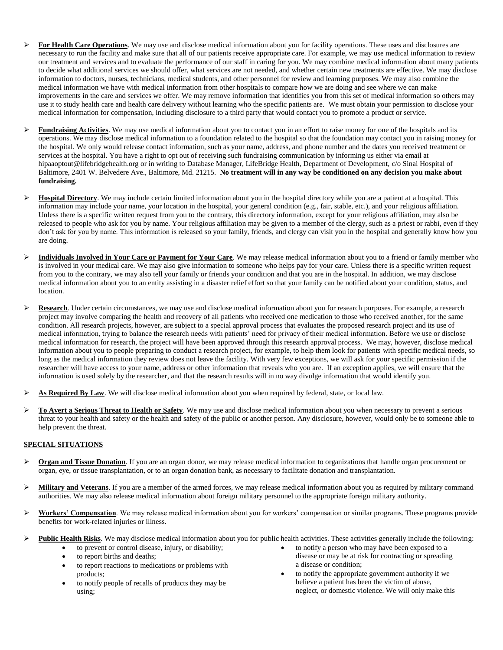- **For Health Care Operations**. We may use and disclose medical information about you for facility operations. These uses and disclosures are necessary to run the facility and make sure that all of our patients receive appropriate care. For example, we may use medical information to review our treatment and services and to evaluate the performance of our staff in caring for you. We may combine medical information about many patients to decide what additional services we should offer, what services are not needed, and whether certain new treatments are effective. We may disclose information to doctors, nurses, technicians, medical students, and other personnel for review and learning purposes. We may also combine the medical information we have with medical information from other hospitals to compare how we are doing and see where we can make improvements in the care and services we offer. We may remove information that identifies you from this set of medical information so others may use it to study health care and health care delivery without learning who the specific patients are. We must obtain your permission to disclose your medical information for compensation, including disclosure to a third party that would contact you to promote a product or service.
- **Fundraising Activities**. We may use medical information about you to contact you in an effort to raise money for one of the hospitals and its operations. We may disclose medical information to a foundation related to the hospital so that the foundation may contact you in raising money for the hospital. We only would release contact information, such as your name, address, and phone number and the dates you received treatment or services at the hospital. You have a right to opt out of receiving such fundraising communication by informing us either via email at hipaaoptout@lifebridgehealth.org or in writing to Database Manager, LifeBridge Health, Department of Development, c/o Sinai Hospital of Baltimore, 2401 W. Belvedere Ave., Baltimore, Md. 21215. **No treatment will in any way be conditioned on any decision you make about fundraising.**
- **Hospital Directory**. We may include certain limited information about you in the hospital directory while you are a patient at a hospital. This information may include your name, your location in the hospital, your general condition (e.g., fair, stable, etc.), and your religious affiliation. Unless there is a specific written request from you to the contrary, this directory information, except for your religious affiliation, may also be released to people who ask for you by name. Your religious affiliation may be given to a member of the clergy, such as a priest or rabbi, even if they don't ask for you by name. This information is released so your family, friends, and clergy can visit you in the hospital and generally know how you are doing.
- **Individuals Involved in Your Care or Payment for Your Care**. We may release medical information about you to a friend or family member who is involved in your medical care. We may also give information to someone who helps pay for your care. Unless there is a specific written request from you to the contrary, we may also tell your family or friends your condition and that you are in the hospital. In addition, we may disclose medical information about you to an entity assisting in a disaster relief effort so that your family can be notified about your condition, status, and location.
- **Research**. Under certain circumstances, we may use and disclose medical information about you for research purposes. For example, a research project may involve comparing the health and recovery of all patients who received one medication to those who received another, for the same condition. All research projects, however, are subject to a special approval process that evaluates the proposed research project and its use of medical information, trying to balance the research needs with patients' need for privacy of their medical information. Before we use or disclose medical information for research, the project will have been approved through this research approval process. We may, however, disclose medical information about you to people preparing to conduct a research project, for example, to help them look for patients with specific medical needs, so long as the medical information they review does not leave the facility. With very few exceptions, we will ask for your specific permission if the researcher will have access to your name, address or other information that reveals who you are. If an exception applies, we will ensure that the information is used solely by the researcher, and that the research results will in no way divulge information that would identify you.
- **As Required By Law**. We will disclose medical information about you when required by federal, state, or local law.
- **To Avert a Serious Threat to Health or Safety**. We may use and disclose medical information about you when necessary to prevent a serious threat to your health and safety or the health and safety of the public or another person. Any disclosure, however, would only be to someone able to help prevent the threat.

### **SPECIAL SITUATIONS**

- **Organ and Tissue Donation**. If you are an organ donor, we may release medical information to organizations that handle organ procurement or organ, eye, or tissue transplantation, or to an organ donation bank, as necessary to facilitate donation and transplantation.
- **Military and Veterans**. If you are a member of the armed forces, we may release medical information about you as required by military command authorities. We may also release medical information about foreign military personnel to the appropriate foreign military authority.
- **EXECT** Workers' Compensation. We may release medical information about you for workers' compensation or similar programs. These programs provide benefits for work-related injuries or illness.
- **Public Health Risks**. We may disclose medical information about you for public health activities. These activities generally include the following:
	- to prevent or control disease, injury, or disability;
	- to report births and deaths;
	- to report reactions to medications or problems with products;
	- to notify people of recalls of products they may be using;
- to notify a person who may have been exposed to a disease or may be at risk for contracting or spreading a disease or condition;
- to notify the appropriate government authority if we believe a patient has been the victim of abuse, neglect, or domestic violence. We will only make this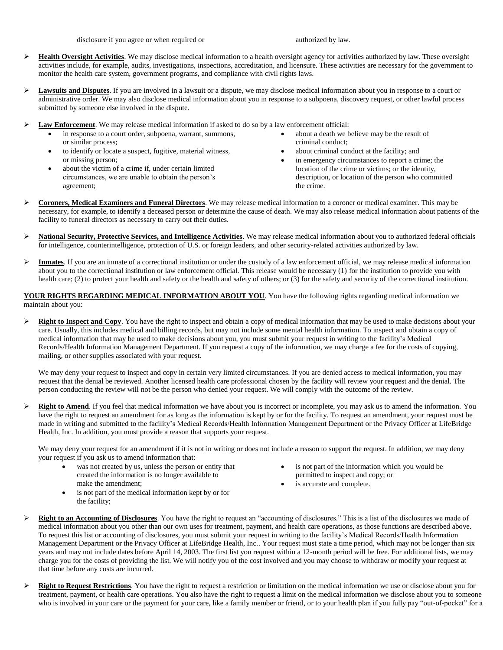disclosure if you agree or when required or authorized by law.

- **►** Health Oversight Activities. We may disclose medical information to a health oversight agency for activities authorized by law. These oversight activities include, for example, audits, investigations, inspections, accreditation, and licensure. These activities are necessary for the government to monitor the health care system, government programs, and compliance with civil rights laws.
- **Lawsuits and Disputes**. If you are involved in a lawsuit or a dispute, we may disclose medical information about you in response to a court or administrative order. We may also disclose medical information about you in response to a subpoena, discovery request, or other lawful process submitted by someone else involved in the dispute.
- **Law Enforcement**. We may release medical information if asked to do so by a law enforcement official:
	- in response to a court order, subpoena, warrant, summons, or similar process;
	- to identify or locate a suspect, fugitive, material witness, or missing person;
	- about the victim of a crime if, under certain limited circumstances, we are unable to obtain the person's agreement;
- about a death we believe may be the result of criminal conduct;
- about criminal conduct at the facility; and
- in emergency circumstances to report a crime; the location of the crime or victims; or the identity, description, or location of the person who committed the crime.
- **Coroners, Medical Examiners and Funeral Directors**. We may release medical information to a coroner or medical examiner. This may be necessary, for example, to identify a deceased person or determine the cause of death. We may also release medical information about patients of the facility to funeral directors as necessary to carry out their duties.
- **EXECURIER INTER SERVICES, AND INTERFEDED ACTIVITIES.** We may release medical information about you to authorized federal officials for intelligence, counterintelligence, protection of U.S. or foreign leaders, and other security-related activities authorized by law.
- **Inmates**. If you are an inmate of a correctional institution or under the custody of a law enforcement official, we may release medical information about you to the correctional institution or law enforcement official. This release would be necessary (1) for the institution to provide you with health care; (2) to protect your health and safety or the health and safety of others; or (3) for the safety and security of the correctional institution.

### **YOUR RIGHTS REGARDING MEDICAL INFORMATION ABOUT YOU**. You have the following rights regarding medical information we maintain about you:

 $\triangleright$  **Right to Inspect and Copy**. You have the right to inspect and obtain a copy of medical information that may be used to make decisions about your care. Usually, this includes medical and billing records, but may not include some mental health information. To inspect and obtain a copy of medical information that may be used to make decisions about you, you must submit your request in writing to the facility's Medical Records/Health Information Management Department. If you request a copy of the information, we may charge a fee for the costs of copying, mailing, or other supplies associated with your request.

We may deny your request to inspect and copy in certain very limited circumstances. If you are denied access to medical information, you may request that the denial be reviewed. Another licensed health care professional chosen by the facility will review your request and the denial. The person conducting the review will not be the person who denied your request. We will comply with the outcome of the review.

**Eight to Amend**. If you feel that medical information we have about you is incorrect or incomplete, you may ask us to amend the information. You have the right to request an amendment for as long as the information is kept by or for the facility. To request an amendment, your request must be made in writing and submitted to the facility's Medical Records/Health Information Management Department or the Privacy Officer at LifeBridge Health, Inc. In addition, you must provide a reason that supports your request.

We may deny your request for an amendment if it is not in writing or does not include a reason to support the request. In addition, we may deny your request if you ask us to amend information that:

- was not created by us, unless the person or entity that created the information is no longer available to make the amendment;
- is not part of the information which you would be permitted to inspect and copy; or
- is accurate and complete.
- is not part of the medical information kept by or for the facility;
- **Right to an Accounting of Disclosures**. You have the right to request an "accounting of disclosures." This is a list of the disclosures we made of medical information about you other than our own uses for treatment, payment, and health care operations, as those functions are described above. To request this list or accounting of disclosures, you must submit your request in writing to the facility's Medical Records/Health Information Management Department or the Privacy Officer at LifeBridge Health, Inc.. Your request must state a time period, which may not be longer than six years and may not include dates before April 14, 2003. The first list you request within a 12-month period will be free. For additional lists, we may charge you for the costs of providing the list. We will notify you of the cost involved and you may choose to withdraw or modify your request at that time before any costs are incurred.
- **Right to Request Restrictions**. You have the right to request a restriction or limitation on the medical information we use or disclose about you for treatment, payment, or health care operations. You also have the right to request a limit on the medical information we disclose about you to someone who is involved in your care or the payment for your care, like a family member or friend, or to your health plan if you fully pay "out-of-pocket" for a